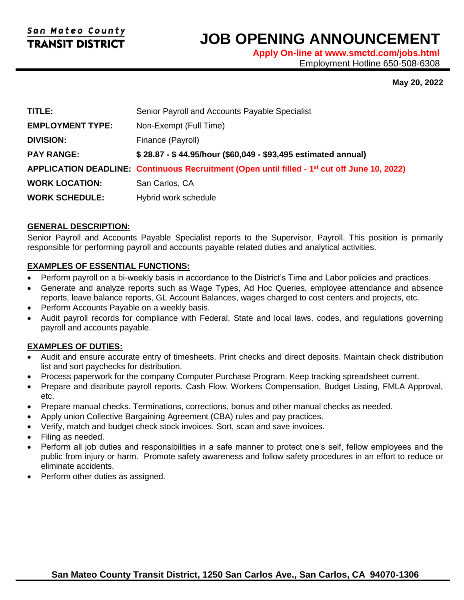l

# **JOB OPENING ANNOUNCEMENT**

**Apply On-line at www.smctd.com/jobs.html** Employment Hotline 650-508-6308

#### **May 20, 2022**

| TITLE:                  | Senior Payroll and Accounts Payable Specialist                                                           |
|-------------------------|----------------------------------------------------------------------------------------------------------|
| <b>EMPLOYMENT TYPE:</b> | Non-Exempt (Full Time)                                                                                   |
| <b>DIVISION:</b>        | Finance (Payroll)                                                                                        |
| <b>PAY RANGE:</b>       | \$28.87 - \$44.95/hour (\$60,049 - \$93,495 estimated annual)                                            |
|                         | APPLICATION DEADLINE: Continuous Recruitment (Open until filled - 1 <sup>st</sup> cut off June 10, 2022) |
| <b>WORK LOCATION:</b>   | San Carlos, CA                                                                                           |
| <b>WORK SCHEDULE:</b>   | Hybrid work schedule                                                                                     |

#### **GENERAL DESCRIPTION:**

Senior Payroll and Accounts Payable Specialist reports to the Supervisor, Payroll. This position is primarily responsible for performing payroll and accounts payable related duties and analytical activities.

#### **EXAMPLES OF ESSENTIAL FUNCTIONS:**

- Perform payroll on a bi-weekly basis in accordance to the District's Time and Labor policies and practices.
- Generate and analyze reports such as Wage Types, Ad Hoc Queries, employee attendance and absence reports, leave balance reports, GL Account Balances, wages charged to cost centers and projects, etc.
- Perform Accounts Payable on a weekly basis.
- Audit payroll records for compliance with Federal, State and local laws, codes, and regulations governing payroll and accounts payable.

#### **EXAMPLES OF DUTIES:**

- Audit and ensure accurate entry of timesheets. Print checks and direct deposits. Maintain check distribution list and sort paychecks for distribution.
- Process paperwork for the company Computer Purchase Program. Keep tracking spreadsheet current.
- Prepare and distribute payroll reports. Cash Flow, Workers Compensation, Budget Listing, FMLA Approval, etc.
- Prepare manual checks. Terminations, corrections, bonus and other manual checks as needed.
- Apply union Collective Bargaining Agreement (CBA) rules and pay practices.
- Verify, match and budget check stock invoices. Sort, scan and save invoices.
- Filing as needed.
- Perform all job duties and responsibilities in a safe manner to protect one's self, fellow employees and the public from injury or harm. Promote safety awareness and follow safety procedures in an effort to reduce or eliminate accidents.
- Perform other duties as assigned.